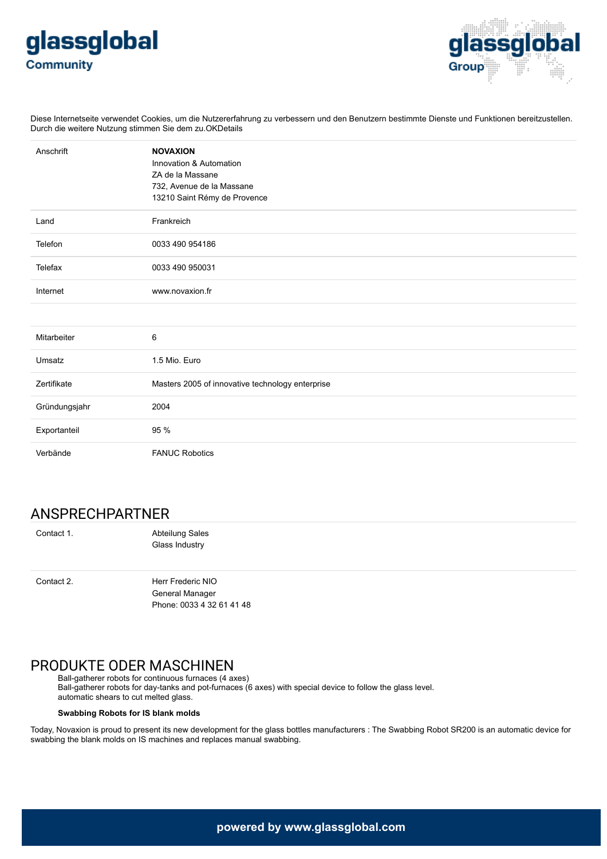



Diese Internetseite verwendet Cookies, um die Nutzererfahrung zu verbessern und den Benutzern bestimmte Dienste und Funktionen bereitzustellen. Durch die weitere Nutzung stimmen Sie dem zu.OKDetails

| Anschrift     | <b>NOVAXION</b><br>Innovation & Automation<br>ZA de la Massane<br>732, Avenue de la Massane<br>13210 Saint Rémy de Provence |
|---------------|-----------------------------------------------------------------------------------------------------------------------------|
| Land          | Frankreich                                                                                                                  |
| Telefon       | 0033 490 954186                                                                                                             |
| Telefax       | 0033 490 950031                                                                                                             |
| Internet      | www.novaxion.fr                                                                                                             |
|               |                                                                                                                             |
| Mitarbeiter   | 6                                                                                                                           |
| Umsatz        | 1.5 Mio. Euro                                                                                                               |
| Zertifikate   | Masters 2005 of innovative technology enterprise                                                                            |
| Gründungsjahr | 2004                                                                                                                        |
| Exportanteil  | 95 %                                                                                                                        |
| Verbände      | <b>FANUC Robotics</b>                                                                                                       |

## ANSPRECHPARTNER

Contact 1. **Abteilung Sales** Glass Industry

Contact 2. Herr Frederic NIO General Manager Phone: 0033 4 32 61 41 48

# PRODUKTE ODER MASCHINEN

Ball-gatherer robots for continuous furnaces (4 axes) Ball-gatherer robots for day-tanks and pot-furnaces (6 axes) with special device to follow the glass level. automatic shears to cut melted glass.

### **Swabbing Robots for IS blank molds**

Today, Novaxion is proud to present its new development for the glass bottles manufacturers : The Swabbing Robot SR200 is an automatic device for swabbing the blank molds on IS machines and replaces manual swabbing.